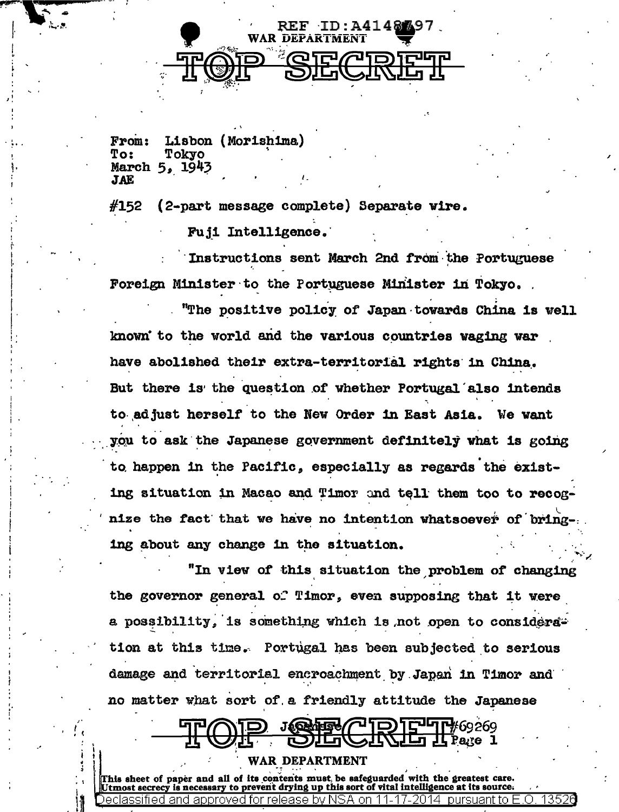

Lisbon (Morishima) From: Tokyo To: March 5, 1943 **JAE** 

#152 (2-part message complete) Separate wire.

Fuji Intelligence.

Instructions sent March 2nd from the Portuguese Foreign Minister to the Portuguese Minister in Tokyo.

"The positive policy of Japan towards China is well known to the world and the various countries waging war have abolished their extra-territorial rights in China. But there is the question of whether Portugal also intends to adjust herself to the New Order in East Asia. We want you to ask the Japanese government definitely what is going to happen in the Pacific. especially as regards the existing situation in Macao and Timor and tell them too to recognize the fact that we have no intention whatsoever of bring ing about any change in the situation.

"In view of this situation the problem of changing the governor general of Timor, even supposing that it were a possibility, is something which is not open to considers. tion at this time. Portugal has been subjected to serious damage and territorial encroachment by Japan in Timor and no matter what sort of a friendly attitude the Japanese

## I**I гч** 60269

WAR DEPARTMENT

This sheet of paper and all of its contents must, be safeguarded with the greatest care. prevent drying up this sort of vital intelligence at its source. 13526